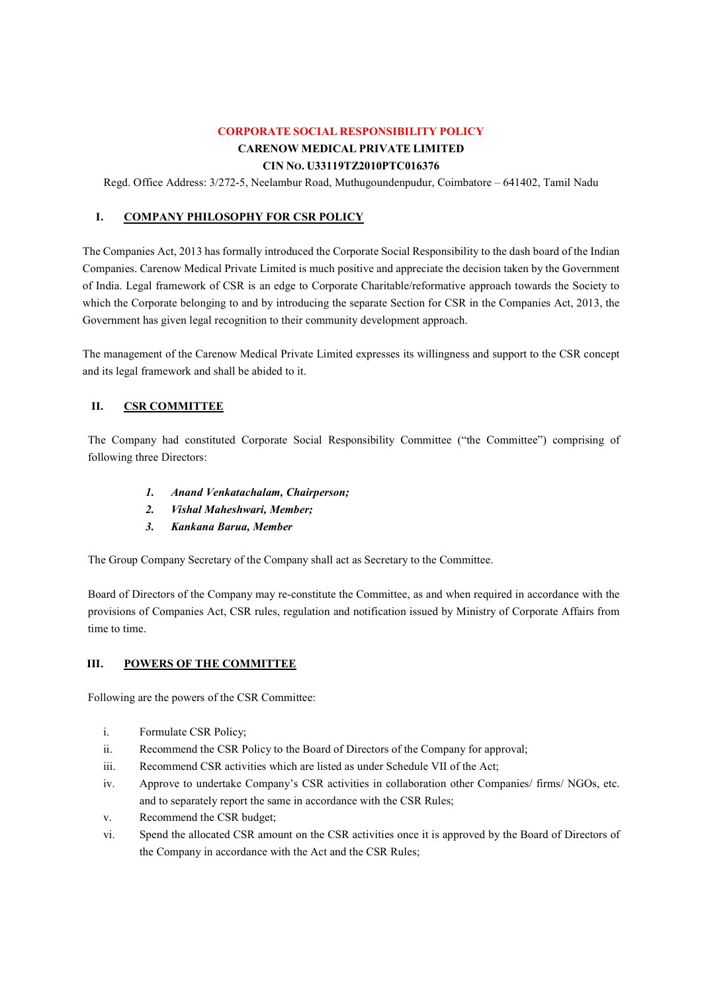# CORPORATE SOCIAL RESPONSIBILITY POLICY

# CARENOW MEDICAL PRIVATE LIMITED CIN NO. U33119TZ2010PTC016376

Regd. Office Address: 3/272-5, Neelambur Road, Muthugoundenpudur, Coimbatore – 641402, Tamil Nadu

# I. COMPANY PHILOSOPHY FOR CSR POLICY

The Companies Act, 2013 has formally introduced the Corporate Social Responsibility to the dash board of the Indian Companies. Carenow Medical Private Limited is much positive and appreciate the decision taken by the Government of India. Legal framework of CSR is an edge to Corporate Charitable/reformative approach towards the Society to which the Corporate belonging to and by introducing the separate Section for CSR in the Companies Act, 2013, the Government has given legal recognition to their community development approach.

The management of the Carenow Medical Private Limited expresses its willingness and support to the CSR concept and its legal framework and shall be abided to it.

# II. CSR COMMITTEE

The Company had constituted Corporate Social Responsibility Committee ("the Committee") comprising of following three Directors:

- 1. Anand Venkatachalam, Chairperson;
- 2. Vishal Maheshwari, Member;
- 3. Kankana Barua, Member

The Group Company Secretary of the Company shall act as Secretary to the Committee.

Board of Directors of the Company may re-constitute the Committee, as and when required in accordance with the provisions of Companies Act, CSR rules, regulation and notification issued by Ministry of Corporate Affairs from time to time.

# III. POWERS OF THE COMMITTEE

Following are the powers of the CSR Committee:

- i. Formulate CSR Policy;
- ii. Recommend the CSR Policy to the Board of Directors of the Company for approval;
- iii. Recommend CSR activities which are listed as under Schedule VII of the Act;
- iv. Approve to undertake Company's CSR activities in collaboration other Companies/ firms/ NGOs, etc. and to separately report the same in accordance with the CSR Rules;
- v. Recommend the CSR budget;
- vi. Spend the allocated CSR amount on the CSR activities once it is approved by the Board of Directors of the Company in accordance with the Act and the CSR Rules;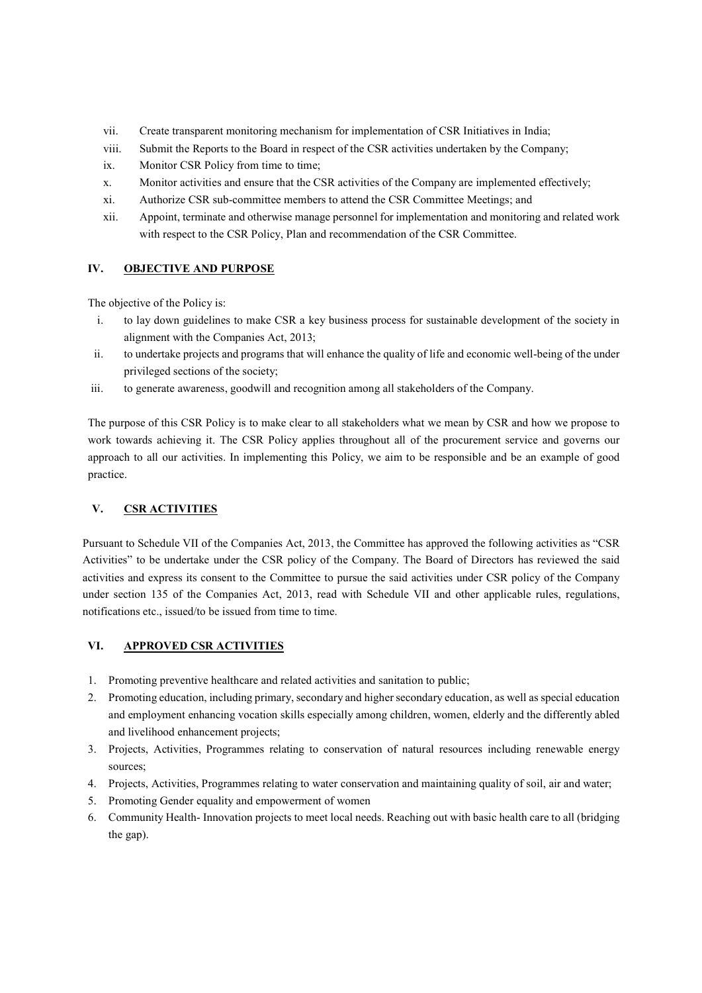- vii. Create transparent monitoring mechanism for implementation of CSR Initiatives in India;
- viii. Submit the Reports to the Board in respect of the CSR activities undertaken by the Company;
- ix. Monitor CSR Policy from time to time;
- x. Monitor activities and ensure that the CSR activities of the Company are implemented effectively;
- xi. Authorize CSR sub-committee members to attend the CSR Committee Meetings; and
- xii. Appoint, terminate and otherwise manage personnel for implementation and monitoring and related work with respect to the CSR Policy, Plan and recommendation of the CSR Committee.

### IV. OBJECTIVE AND PURPOSE

The objective of the Policy is:

- i. to lay down guidelines to make CSR a key business process for sustainable development of the society in alignment with the Companies Act, 2013;
- ii. to undertake projects and programs that will enhance the quality of life and economic well-being of the under privileged sections of the society;
- iii. to generate awareness, goodwill and recognition among all stakeholders of the Company.

The purpose of this CSR Policy is to make clear to all stakeholders what we mean by CSR and how we propose to work towards achieving it. The CSR Policy applies throughout all of the procurement service and governs our approach to all our activities. In implementing this Policy, we aim to be responsible and be an example of good practice.

# V. CSR ACTIVITIES

Pursuant to Schedule VII of the Companies Act, 2013, the Committee has approved the following activities as "CSR Activities" to be undertake under the CSR policy of the Company. The Board of Directors has reviewed the said activities and express its consent to the Committee to pursue the said activities under CSR policy of the Company under section 135 of the Companies Act, 2013, read with Schedule VII and other applicable rules, regulations, notifications etc., issued/to be issued from time to time.

# VI. APPROVED CSR ACTIVITIES

- 1. Promoting preventive healthcare and related activities and sanitation to public;
- 2. Promoting education, including primary, secondary and higher secondary education, as well as special education and employment enhancing vocation skills especially among children, women, elderly and the differently abled and livelihood enhancement projects;
- 3. Projects, Activities, Programmes relating to conservation of natural resources including renewable energy sources;
- 4. Projects, Activities, Programmes relating to water conservation and maintaining quality of soil, air and water;
- 5. Promoting Gender equality and empowerment of women
- 6. Community Health- Innovation projects to meet local needs. Reaching out with basic health care to all (bridging the gap).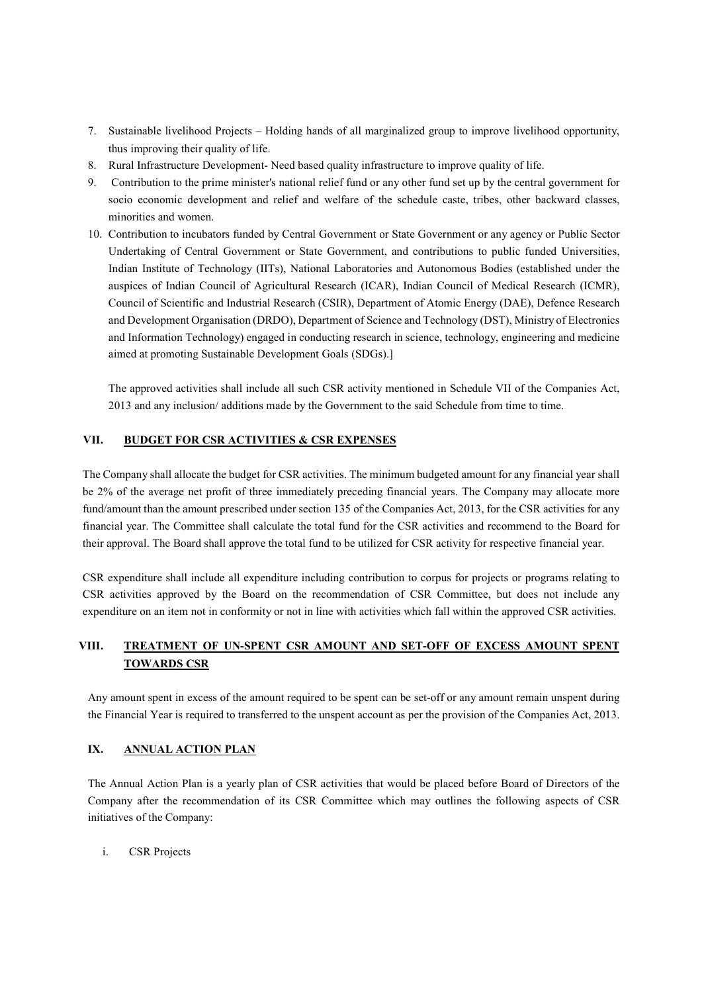- 7. Sustainable livelihood Projects Holding hands of all marginalized group to improve livelihood opportunity, thus improving their quality of life.
- 8. Rural Infrastructure Development- Need based quality infrastructure to improve quality of life.
- 9. Contribution to the prime minister's national relief fund or any other fund set up by the central government for socio economic development and relief and welfare of the schedule caste, tribes, other backward classes, minorities and women.
- 10. Contribution to incubators funded by Central Government or State Government or any agency or Public Sector Undertaking of Central Government or State Government, and contributions to public funded Universities, Indian Institute of Technology (IITs), National Laboratories and Autonomous Bodies (established under the auspices of Indian Council of Agricultural Research (ICAR), Indian Council of Medical Research (ICMR), Council of Scientific and Industrial Research (CSIR), Department of Atomic Energy (DAE), Defence Research and Development Organisation (DRDO), Department of Science and Technology (DST), Ministry of Electronics and Information Technology) engaged in conducting research in science, technology, engineering and medicine aimed at promoting Sustainable Development Goals (SDGs).]

The approved activities shall include all such CSR activity mentioned in Schedule VII of the Companies Act, 2013 and any inclusion/ additions made by the Government to the said Schedule from time to time.

### VII. BUDGET FOR CSR ACTIVITIES & CSR EXPENSES

The Company shall allocate the budget for CSR activities. The minimum budgeted amount for any financial year shall be 2% of the average net profit of three immediately preceding financial years. The Company may allocate more fund/amount than the amount prescribed under section 135 of the Companies Act, 2013, for the CSR activities for any financial year. The Committee shall calculate the total fund for the CSR activities and recommend to the Board for their approval. The Board shall approve the total fund to be utilized for CSR activity for respective financial year.

CSR expenditure shall include all expenditure including contribution to corpus for projects or programs relating to CSR activities approved by the Board on the recommendation of CSR Committee, but does not include any expenditure on an item not in conformity or not in line with activities which fall within the approved CSR activities.

# VIII. TREATMENT OF UN-SPENT CSR AMOUNT AND SET-OFF OF EXCESS AMOUNT SPENT TOWARDS CSR

Any amount spent in excess of the amount required to be spent can be set-off or any amount remain unspent during the Financial Year is required to transferred to the unspent account as per the provision of the Companies Act, 2013.

### IX. ANNUAL ACTION PLAN

The Annual Action Plan is a yearly plan of CSR activities that would be placed before Board of Directors of the Company after the recommendation of its CSR Committee which may outlines the following aspects of CSR initiatives of the Company:

i. CSR Projects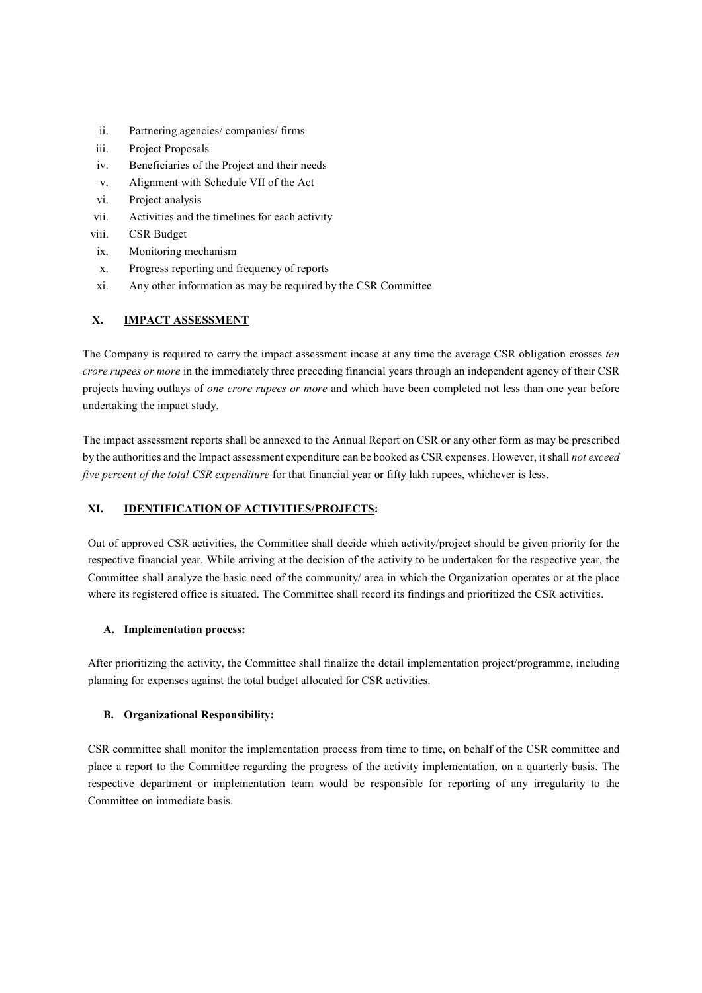- ii. Partnering agencies/ companies/ firms
- iii. Project Proposals
- iv. Beneficiaries of the Project and their needs
- v. Alignment with Schedule VII of the Act
- vi. Project analysis
- vii. Activities and the timelines for each activity
- viii. CSR Budget
- ix. Monitoring mechanism
- x. Progress reporting and frequency of reports
- xi. Any other information as may be required by the CSR Committee

### X. IMPACT ASSESSMENT

The Company is required to carry the impact assessment incase at any time the average CSR obligation crosses ten crore rupees or more in the immediately three preceding financial years through an independent agency of their CSR projects having outlays of one crore rupees or more and which have been completed not less than one year before undertaking the impact study.

The impact assessment reports shall be annexed to the Annual Report on CSR or any other form as may be prescribed by the authorities and the Impact assessment expenditure can be booked as CSR expenses. However, it shall not exceed five percent of the total CSR expenditure for that financial year or fifty lakh rupees, whichever is less.

# XI. IDENTIFICATION OF ACTIVITIES/PROJECTS:

Out of approved CSR activities, the Committee shall decide which activity/project should be given priority for the respective financial year. While arriving at the decision of the activity to be undertaken for the respective year, the Committee shall analyze the basic need of the community/ area in which the Organization operates or at the place where its registered office is situated. The Committee shall record its findings and prioritized the CSR activities.

### A. Implementation process:

After prioritizing the activity, the Committee shall finalize the detail implementation project/programme, including planning for expenses against the total budget allocated for CSR activities.

### B. Organizational Responsibility:

CSR committee shall monitor the implementation process from time to time, on behalf of the CSR committee and place a report to the Committee regarding the progress of the activity implementation, on a quarterly basis. The respective department or implementation team would be responsible for reporting of any irregularity to the Committee on immediate basis.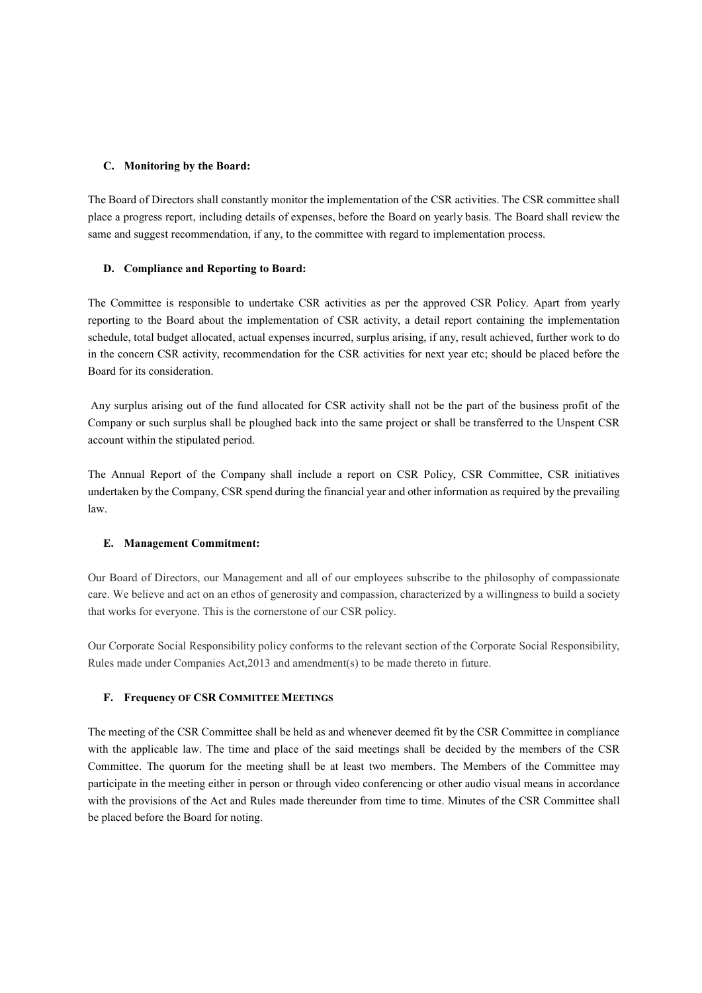### C. Monitoring by the Board:

The Board of Directors shall constantly monitor the implementation of the CSR activities. The CSR committee shall place a progress report, including details of expenses, before the Board on yearly basis. The Board shall review the same and suggest recommendation, if any, to the committee with regard to implementation process.

#### D. Compliance and Reporting to Board:

The Committee is responsible to undertake CSR activities as per the approved CSR Policy. Apart from yearly reporting to the Board about the implementation of CSR activity, a detail report containing the implementation schedule, total budget allocated, actual expenses incurred, surplus arising, if any, result achieved, further work to do in the concern CSR activity, recommendation for the CSR activities for next year etc; should be placed before the Board for its consideration.

 Any surplus arising out of the fund allocated for CSR activity shall not be the part of the business profit of the Company or such surplus shall be ploughed back into the same project or shall be transferred to the Unspent CSR account within the stipulated period.

The Annual Report of the Company shall include a report on CSR Policy, CSR Committee, CSR initiatives undertaken by the Company, CSR spend during the financial year and other information as required by the prevailing law.

### E. Management Commitment:

Our Board of Directors, our Management and all of our employees subscribe to the philosophy of compassionate care. We believe and act on an ethos of generosity and compassion, characterized by a willingness to build a society that works for everyone. This is the cornerstone of our CSR policy.

Our Corporate Social Responsibility policy conforms to the relevant section of the Corporate Social Responsibility, Rules made under Companies Act,2013 and amendment(s) to be made thereto in future.

#### F. Frequency OF CSR COMMITTEE MEETINGS

The meeting of the CSR Committee shall be held as and whenever deemed fit by the CSR Committee in compliance with the applicable law. The time and place of the said meetings shall be decided by the members of the CSR Committee. The quorum for the meeting shall be at least two members. The Members of the Committee may participate in the meeting either in person or through video conferencing or other audio visual means in accordance with the provisions of the Act and Rules made thereunder from time to time. Minutes of the CSR Committee shall be placed before the Board for noting.